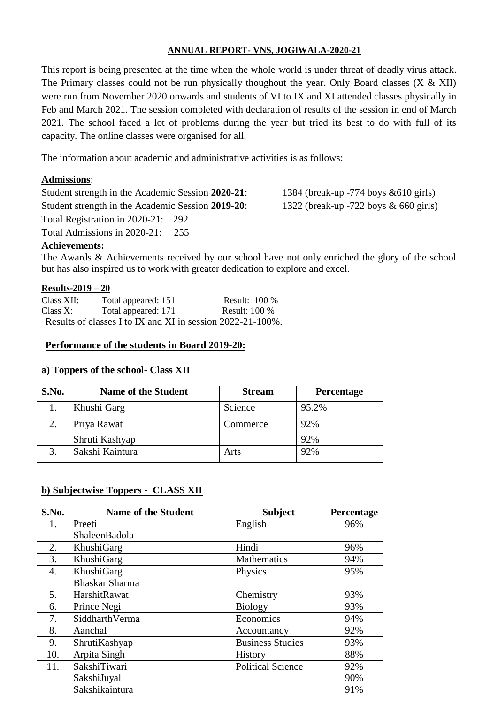## **ANNUAL REPORT- VNS, JOGIWALA-2020-21**

This report is being presented at the time when the whole world is under threat of deadly virus attack. The Primary classes could not be run physically thoughout the year. Only Board classes  $(X & XII)$ were run from November 2020 onwards and students of VI to IX and XI attended classes physically in Feb and March 2021. The session completed with declaration of results of the session in end of March 2021. The school faced a lot of problems during the year but tried its best to do with full of its capacity. The online classes were organised for all.

The information about academic and administrative activities is as follows:

# **Admissions**:

Student strength in the Academic Session **2020-21**: 1384 (break-up -774 boys &610 girls) Student strength in the Academic Session **2019-20**: 1322 (break-up -722 boys & 660 girls) Total Registration in 2020-21: 292 Total Admissions in 2020-21: 255

### **Achievements:**

The Awards & Achievements received by our school have not only enriched the glory of the school but has also inspired us to work with greater dedication to explore and excel.

### **Results-2019 – 20**

| Class XII: | Total appeared: 151                                        | Result: $100\%$ |
|------------|------------------------------------------------------------|-----------------|
| Class X:   | Total appeared: 171                                        | Result: $100\%$ |
|            | Results of classes I to IX and XI in session 2022-21-100%. |                 |

### **Performance of the students in Board 2019-20:**

### **a) Toppers of the school- Class XII**

| S.No. | <b>Name of the Student</b> | <b>Stream</b> | Percentage |
|-------|----------------------------|---------------|------------|
|       | Khushi Garg                | Science       | 95.2%      |
|       | Priya Rawat                | Commerce      | 92%        |
|       | Shruti Kashyap             |               | 92%        |
|       | Sakshi Kaintura            | Arts          | 92%        |

# **b) Subjectwise Toppers - CLASS XII**

| S.No. | <b>Name of the Student</b> | <b>Subject</b>           | Percentage |
|-------|----------------------------|--------------------------|------------|
| 1.    | Preeti                     | English                  | 96%        |
|       | ShaleenBadola              |                          |            |
| 2.    | KhushiGarg                 | Hindi                    | 96%        |
| 3.    | KhushiGarg                 | <b>Mathematics</b>       | 94%        |
| 4.    | KhushiGarg                 | Physics                  | 95%        |
|       | <b>Bhaskar Sharma</b>      |                          |            |
| 5.    | HarshitRawat               | Chemistry                | 93%        |
| 6.    | Prince Negi                | <b>Biology</b>           | 93%        |
| 7.    | SiddharthVerma             | Economics                | 94%        |
| 8.    | Aanchal                    | Accountancy              | 92%        |
| 9.    | ShrutiKashyap              | <b>Business Studies</b>  | 93%        |
| 10.   | Arpita Singh               | <b>History</b>           | 88%        |
| 11.   | SakshiTiwari               | <b>Political Science</b> | 92%        |
|       | SakshiJuyal                |                          | 90%        |
|       | Sakshikaintura             |                          | 91%        |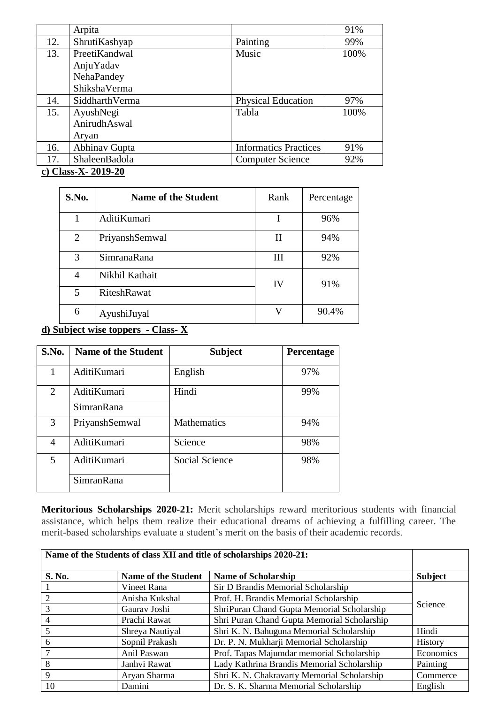|     | Arpita         |                              | 91%  |
|-----|----------------|------------------------------|------|
| 12. | ShrutiKashyap  | Painting                     | 99%  |
| 13. | PreetiKandwal  | Music                        | 100% |
|     | AnjuYadav      |                              |      |
|     | NehaPandey     |                              |      |
|     | ShikshaVerma   |                              |      |
| 14. | SiddharthVerma | <b>Physical Education</b>    | 97%  |
| 15. | AyushNegi      | Tabla                        | 100% |
|     | AnirudhAswal   |                              |      |
|     | Aryan          |                              |      |
| 16. | Abhinav Gupta  | <b>Informatics Practices</b> | 91%  |
| 17. | ShaleenBadola  | <b>Computer Science</b>      | 92%  |

**c) Class-X- 2019-20**

| S.No. | <b>Name of the Student</b> | Rank | Percentage |
|-------|----------------------------|------|------------|
|       | AditiKumari                |      | 96%        |
| 2     | PriyanshSemwal             | П    | 94%        |
| 3     | SimranaRana                | Ш    | 92%        |
| 4     | Nikhil Kathait             | IV   | 91%        |
| 5     | <b>RiteshRawat</b>         |      |            |
| 6     | AyushiJuyal                | V    | 90.4%      |

# **d) Subject wise toppers - Class- X**

| S.No. | <b>Name of the Student</b> | <b>Subject</b>        | Percentage |
|-------|----------------------------|-----------------------|------------|
|       | AditiKumari                | English               | 97%        |
| 2     | AditiKumari                | Hindi                 | 99%        |
|       | SimranRana                 |                       |            |
| 3     | PriyanshSemwal             | Mathematics           | 94%        |
| 4     | AditiKumari                | Science               | 98%        |
| 5     | AditiKumari                | <b>Social Science</b> | 98%        |
|       | SimranRana                 |                       |            |

**Meritorious Scholarships 2020-21:** Merit scholarships reward meritorious students with financial assistance, which helps them realize their educational dreams of achieving a fulfilling career. The merit-based scholarships evaluate a student's merit on the basis of their academic records.

|        | Name of the Students of class XII and title of scholarships 2020-21: |                                             |                |
|--------|----------------------------------------------------------------------|---------------------------------------------|----------------|
| S. No. | <b>Name of the Student</b>                                           | <b>Name of Scholarship</b>                  | <b>Subject</b> |
|        | Vineet Rana                                                          | Sir D Brandis Memorial Scholarship          |                |
|        | Anisha Kukshal                                                       | Prof. H. Brandis Memorial Scholarship       |                |
|        | Gaurav Joshi                                                         | ShriPuran Chand Gupta Memorial Scholarship  | Science        |
|        | Prachi Rawat                                                         | Shri Puran Chand Gupta Memorial Scholarship |                |
|        | Shreya Nautiyal                                                      | Shri K. N. Bahuguna Memorial Scholarship    | Hindi          |
| 6      | Sopnil Prakash                                                       | Dr. P. N. Mukharji Memorial Scholarship     | History        |
|        | Anil Paswan                                                          | Prof. Tapas Majumdar memorial Scholarship   | Economics      |
| 8      | Janhvi Rawat                                                         | Lady Kathrina Brandis Memorial Scholarship  | Painting       |
| 9      | Aryan Sharma                                                         | Shri K. N. Chakravarty Memorial Scholarship | Commerce       |
| 10     | Damini                                                               | Dr. S. K. Sharma Memorial Scholarship       | English        |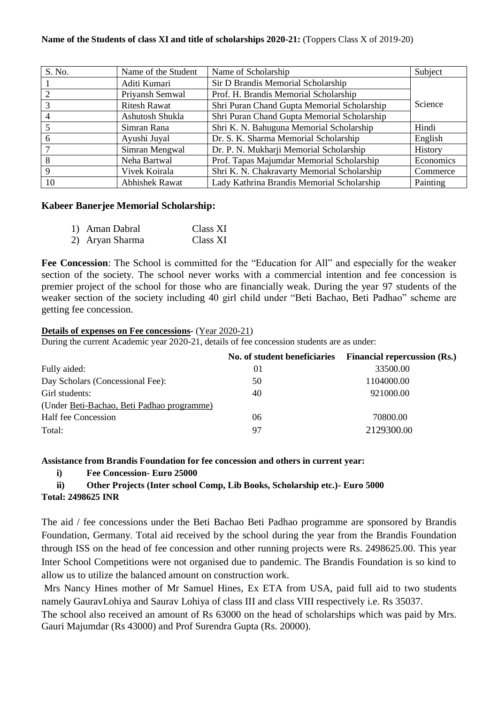### **Name of the Students of class XI and title of scholarships 2020-21:** (Toppers Class X of 2019-20)

| S. No. | Name of the Student   | Name of Scholarship                         | Subject   |
|--------|-----------------------|---------------------------------------------|-----------|
|        | Aditi Kumari          | Sir D Brandis Memorial Scholarship          |           |
|        | Priyansh Semwal       | Prof. H. Brandis Memorial Scholarship       |           |
|        | <b>Ritesh Rawat</b>   | Shri Puran Chand Gupta Memorial Scholarship | Science   |
|        | Ashutosh Shukla       | Shri Puran Chand Gupta Memorial Scholarship |           |
|        | Simran Rana           | Shri K. N. Bahuguna Memorial Scholarship    | Hindi     |
|        | Ayushi Juyal          | Dr. S. K. Sharma Memorial Scholarship       | English   |
|        | Simran Mengwal        | Dr. P. N. Mukharji Memorial Scholarship     | History   |
|        | Neha Bartwal          | Prof. Tapas Majumdar Memorial Scholarship   | Economics |
|        | Vivek Koirala         | Shri K. N. Chakravarty Memorial Scholarship | Commerce  |
| 10     | <b>Abhishek Rawat</b> | Lady Kathrina Brandis Memorial Scholarship  | Painting  |

### **Kabeer Banerjee Memorial Scholarship:**

| 1) Aman Dabral  | Class XI |
|-----------------|----------|
| 2) Aryan Sharma | Class XI |

**Fee Concession**: The School is committed for the "Education for All" and especially for the weaker section of the society. The school never works with a commercial intention and fee concession is premier project of the school for those who are financially weak. During the year 97 students of the weaker section of the society including 40 girl child under "Beti Bachao, Beti Padhao" scheme are getting fee concession.

#### **Details of expenses on Fee concessions-** (Year 2020-21)

During the current Academic year 2020-21, details of fee concession students are as under:

| No. of student beneficiaries | <b>Financial repercussion (Rs.)</b> |
|------------------------------|-------------------------------------|
| 01                           | 33500.00                            |
| 50                           | 1104000.00                          |
| 40                           | 921000.00                           |
|                              |                                     |
| 06                           | 70800.00                            |
| 97                           | 2129300.00                          |
|                              |                                     |

#### **Assistance from Brandis Foundation for fee concession and others in current year:**

**i) Fee Concession- Euro 25000**

# **ii) Other Projects (Inter school Comp, Lib Books, Scholarship etc.)- Euro 5000**

#### **Total: 2498625 INR**

The aid / fee concessions under the Beti Bachao Beti Padhao programme are sponsored by Brandis Foundation, Germany. Total aid received by the school during the year from the Brandis Foundation through ISS on the head of fee concession and other running projects were Rs. 2498625.00. This year Inter School Competitions were not organised due to pandemic. The Brandis Foundation is so kind to allow us to utilize the balanced amount on construction work.

Mrs Nancy Hines mother of Mr Samuel Hines, Ex ETA from USA, paid full aid to two students namely GauravLohiya and Saurav Lohiya of class III and class VIII respectively i.e. Rs 35037.

The school also received an amount of Rs 63000 on the head of scholarships which was paid by Mrs. Gauri Majumdar (Rs 43000) and Prof Surendra Gupta (Rs. 20000).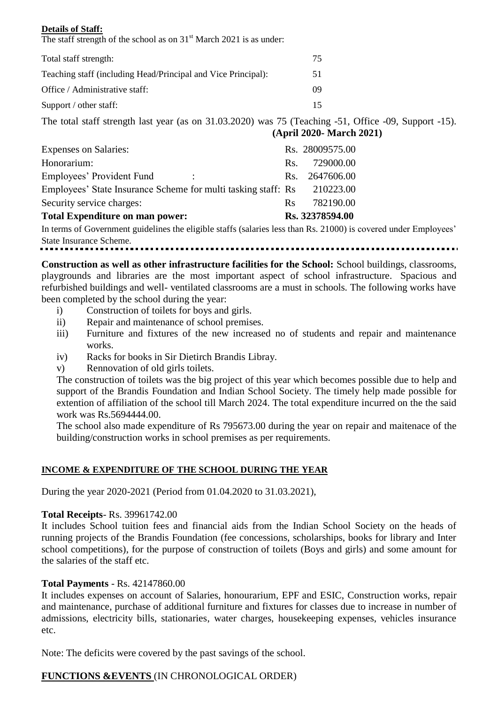### **Details of Staff:**

The staff strength of the school as on  $31<sup>st</sup>$  March 2021 is as under:

| Total staff strength:                                         | 75 |
|---------------------------------------------------------------|----|
| Teaching staff (including Head/Principal and Vice Principal): | 51 |
| Office / Administrative staff:                                | 09 |
| Support / other staff:                                        | 15 |

The total staff strength last year (as on 31.03.2020) was 75 (Teaching -51, Office -09, Support -15). **(April 2020- March 2021)**

| <b>Expenses on Salaries:</b>                                  |            | Rs. 28009575.00 |
|---------------------------------------------------------------|------------|-----------------|
| Honorarium:                                                   | Rs.        | 729000.00       |
| Employees' Provident Fund<br>٠                                |            | Rs. 2647606.00  |
| Employees' State Insurance Scheme for multi tasking staff: Rs |            | 210223.00       |
| Security service charges:                                     | <b>R</b> s | 782190.00       |
| <b>Total Expenditure on man power:</b>                        |            | Rs. 32378594.00 |
|                                                               |            |                 |

In terms of Government guidelines the eligible staffs (salaries less than Rs. 21000) is covered under Employees' State Insurance Scheme.

**Construction as well as other infrastructure facilities for the School:** School buildings, classrooms,

playgrounds and libraries are the most important aspect of school infrastructure. Spacious and refurbished buildings and well- ventilated classrooms are a must in schools. The following works have been completed by the school during the year:

- i) Construction of toilets for boys and girls.
- ii) Repair and maintenance of school premises.
- iii) Furniture and fixtures of the new increased no of students and repair and maintenance works.
- iv) Racks for books in Sir Dietirch Brandis Libray.
- v) Rennovation of old girls toilets.

The construction of toilets was the big project of this year which becomes possible due to help and support of the Brandis Foundation and Indian School Society. The timely help made possible for extention of affiliation of the school till March 2024. The total expenditure incurred on the the said work was Rs.5694444.00.

The school also made expenditure of Rs 795673.00 during the year on repair and maitenace of the building/construction works in school premises as per requirements.

# **INCOME & EXPENDITURE OF THE SCHOOL DURING THE YEAR**

During the year 2020-2021 (Period from 01.04.2020 to 31.03.2021),

# **Total Receipts**- Rs. 39961742.00

It includes School tuition fees and financial aids from the Indian School Society on the heads of running projects of the Brandis Foundation (fee concessions, scholarships, books for library and Inter school competitions), for the purpose of construction of toilets (Boys and girls) and some amount for the salaries of the staff etc.

# **Total Payments** - Rs. 42147860.00

It includes expenses on account of Salaries, honourarium, EPF and ESIC, Construction works, repair and maintenance, purchase of additional furniture and fixtures for classes due to increase in number of admissions, electricity bills, stationaries, water charges, housekeeping expenses, vehicles insurance etc.

Note: The deficits were covered by the past savings of the school.

# **FUNCTIONS &EVENTS** (IN CHRONOLOGICAL ORDER)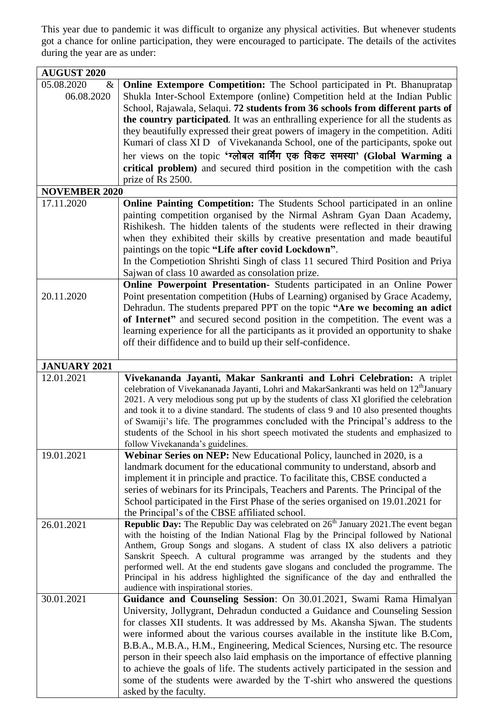This year due to pandemic it was difficult to organize any physical activities. But whenever students got a chance for online participation, they were encouraged to participate. The details of the activites during the year are as under:

| <b>AUGUST 2020</b>            |                                                                                                                                                                                                                                                                                                                                                                                                                                                                                                                                                                                                                                                                                                    |  |
|-------------------------------|----------------------------------------------------------------------------------------------------------------------------------------------------------------------------------------------------------------------------------------------------------------------------------------------------------------------------------------------------------------------------------------------------------------------------------------------------------------------------------------------------------------------------------------------------------------------------------------------------------------------------------------------------------------------------------------------------|--|
| 05.08.2020<br>&<br>06.08.2020 | <b>Online Extempore Competition:</b> The School participated in Pt. Bhanupratap<br>Shukla Inter-School Extempore (online) Competition held at the Indian Public<br>School, Rajawala, Selaqui. 72 students from 36 schools from different parts of<br>the country participated. It was an enthralling experience for all the students as<br>they beautifully expressed their great powers of imagery in the competition. Aditi<br>Kumari of class XI D of Vivekananda School, one of the participants, spoke out<br>her views on the topic 'ग्लोबल वार्मिंग एक विकट समस्या' (Global Warming a<br>critical problem) and secured third position in the competition with the cash<br>prize of Rs 2500. |  |
| <b>NOVEMBER 2020</b>          |                                                                                                                                                                                                                                                                                                                                                                                                                                                                                                                                                                                                                                                                                                    |  |
| 17.11.2020                    | Online Painting Competition: The Students School participated in an online<br>painting competition organised by the Nirmal Ashram Gyan Daan Academy,<br>Rishikesh. The hidden talents of the students were reflected in their drawing<br>when they exhibited their skills by creative presentation and made beautiful<br>paintings on the topic "Life after covid Lockdown".<br>In the Competiotion Shrishti Singh of class 11 secured Third Position and Priya<br>Sajwan of class 10 awarded as consolation prize.                                                                                                                                                                                |  |
|                               | Online Powerpoint Presentation- Students participated in an Online Power                                                                                                                                                                                                                                                                                                                                                                                                                                                                                                                                                                                                                           |  |
| 20.11.2020                    | Point presentation competition (Hubs of Learning) organised by Grace Academy,<br>Dehradun. The students prepared PPT on the topic "Are we becoming an adict"<br>of Internet" and secured second position in the competition. The event was a<br>learning experience for all the participants as it provided an opportunity to shake<br>off their diffidence and to build up their self-confidence.                                                                                                                                                                                                                                                                                                 |  |
| <b>JANUARY 2021</b>           |                                                                                                                                                                                                                                                                                                                                                                                                                                                                                                                                                                                                                                                                                                    |  |
| 12.01.2021                    | Vivekananda Jayanti, Makar Sankranti and Lohri Celebration: A triplet<br>celebration of Vivekananada Jayanti, Lohri and MakarSankranti was held on 12 <sup>th</sup> January<br>2021. A very melodious song put up by the students of class XI glorified the celebration<br>and took it to a divine standard. The students of class 9 and 10 also presented thoughts<br>of Swamiji's life. The programmes concluded with the Principal's address to the<br>students of the School in his short speech motivated the students and emphasized to<br>follow Vivekananda's guidelines.                                                                                                                  |  |
| 19.01.2021                    | <b>Webinar Series on NEP:</b> New Educational Policy, launched in 2020, is a<br>landmark document for the educational community to understand, absorb and<br>implement it in principle and practice. To facilitate this, CBSE conducted a<br>series of webinars for its Principals, Teachers and Parents. The Principal of the<br>School participated in the First Phase of the series organised on 19.01.2021 for<br>the Principal's of the CBSE affiliated school.                                                                                                                                                                                                                               |  |
| 26.01.2021                    | <b>Republic Day:</b> The Republic Day was celebrated on $26th$ January 2021. The event began<br>with the hoisting of the Indian National Flag by the Principal followed by National<br>Anthem, Group Songs and slogans. A student of class IX also delivers a patriotic<br>Sanskrit Speech. A cultural programme was arranged by the students and they<br>performed well. At the end students gave slogans and concluded the programme. The<br>Principal in his address highlighted the significance of the day and enthralled the<br>audience with inspirational stories.                                                                                                                         |  |
| 30.01.2021                    | Guidance and Counseling Session: On 30.01.2021, Swami Rama Himalyan<br>University, Jollygrant, Dehradun conducted a Guidance and Counseling Session<br>for classes XII students. It was addressed by Ms. Akansha Sjwan. The students<br>were informed about the various courses available in the institute like B.Com,<br>B.B.A., M.B.A., H.M., Engineering, Medical Sciences, Nursing etc. The resource<br>person in their speech also laid emphasis on the importance of effective planning<br>to achieve the goals of life. The students actively participated in the session and<br>some of the students were awarded by the T-shirt who answered the questions<br>asked by the faculty.       |  |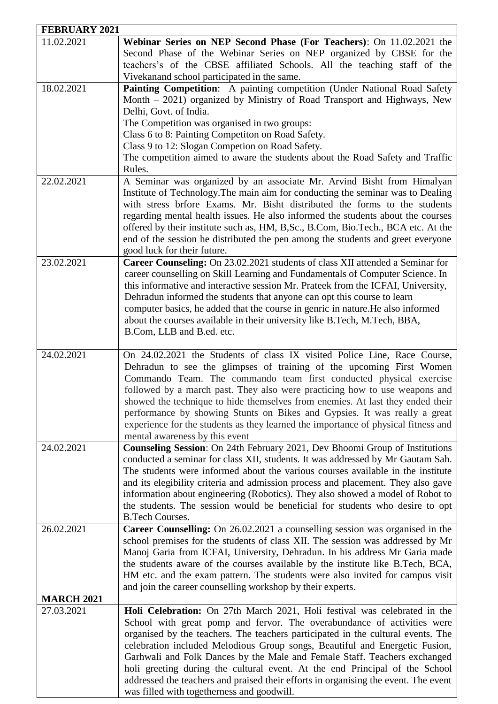| <b>FEBRUARY 2021</b>     |                                                                                                                                                                                                                                                                                                                                                                                                                                                                                                                                                                                                                          |  |
|--------------------------|--------------------------------------------------------------------------------------------------------------------------------------------------------------------------------------------------------------------------------------------------------------------------------------------------------------------------------------------------------------------------------------------------------------------------------------------------------------------------------------------------------------------------------------------------------------------------------------------------------------------------|--|
| 11.02.2021               | Webinar Series on NEP Second Phase (For Teachers): On 11.02.2021 the<br>Second Phase of the Webinar Series on NEP organized by CBSE for the<br>teachers's of the CBSE affiliated Schools. All the teaching staff of the<br>Vivekanand school participated in the same.                                                                                                                                                                                                                                                                                                                                                   |  |
| 18.02.2021<br>22.02.2021 | Painting Competition: A painting competition (Under National Road Safety<br>Month - 2021) organized by Ministry of Road Transport and Highways, New<br>Delhi, Govt. of India.<br>The Competition was organised in two groups:<br>Class 6 to 8: Painting Competiton on Road Safety.<br>Class 9 to 12: Slogan Competion on Road Safety.<br>The competition aimed to aware the students about the Road Safety and Traffic<br>Rules.<br>A Seminar was organized by an associate Mr. Arvind Bisht from Himalyan                                                                                                               |  |
|                          | Institute of Technology. The main aim for conducting the seminar was to Dealing<br>with stress brfore Exams. Mr. Bisht distributed the forms to the students<br>regarding mental health issues. He also informed the students about the courses<br>offered by their institute such as, HM, B, Sc., B.Com, Bio.Tech., BCA etc. At the<br>end of the session he distributed the pen among the students and greet everyone<br>good luck for their future.                                                                                                                                                                   |  |
| 23.02.2021               | Career Counseling: On 23.02.2021 students of class XII attended a Seminar for<br>career counselling on Skill Learning and Fundamentals of Computer Science. In<br>this informative and interactive session Mr. Prateek from the ICFAI, University,<br>Dehradun informed the students that anyone can opt this course to learn<br>computer basics, he added that the course in genric in nature. He also informed<br>about the courses available in their university like B.Tech, M.Tech, BBA,<br>B.Com, LLB and B.ed. etc.                                                                                               |  |
| 24.02.2021               | On 24.02.2021 the Students of class IX visited Police Line, Race Course,<br>Dehradun to see the glimpses of training of the upcoming First Women<br>Commando Team. The commando team first conducted physical exercise<br>followed by a march past. They also were practicing how to use weapons and<br>showed the technique to hide themselves from enemies. At last they ended their<br>performance by showing Stunts on Bikes and Gypsies. It was really a great<br>experience for the students as they learned the importance of physical fitness and<br>mental awareness by this event                              |  |
| 24.02.2021               | Counseling Session: On 24th February 2021, Dev Bhoomi Group of Institutions<br>conducted a seminar for class XII, students. It was addressed by Mr Gautam Sah.<br>The students were informed about the various courses available in the institute<br>and its elegibility criteria and admission process and placement. They also gave<br>information about engineering (Robotics). They also showed a model of Robot to<br>the students. The session would be beneficial for students who desire to opt<br><b>B.Tech Courses.</b>                                                                                        |  |
| 26.02.2021               | Career Counselling: On 26.02.2021 a counselling session was organised in the<br>school premises for the students of class XII. The session was addressed by Mr<br>Manoj Garia from ICFAI, University, Dehradun. In his address Mr Garia made<br>the students aware of the courses available by the institute like B.Tech, BCA,<br>HM etc. and the exam pattern. The students were also invited for campus visit<br>and join the career counselling workshop by their experts.                                                                                                                                            |  |
| <b>MARCH 2021</b>        |                                                                                                                                                                                                                                                                                                                                                                                                                                                                                                                                                                                                                          |  |
| 27.03.2021               | Holi Celebration: On 27th March 2021, Holi festival was celebrated in the<br>School with great pomp and fervor. The overabundance of activities were<br>organised by the teachers. The teachers participated in the cultural events. The<br>celebration included Melodious Group songs, Beautiful and Energetic Fusion,<br>Garhwali and Folk Dances by the Male and Female Staff. Teachers exchanged<br>holi greeting during the cultural event. At the end Principal of the School<br>addressed the teachers and praised their efforts in organising the event. The event<br>was filled with togetherness and goodwill. |  |